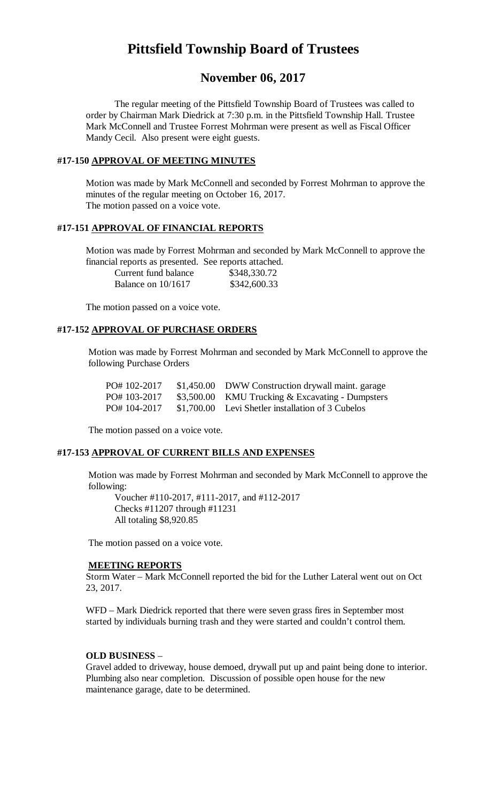# **Pittsfield Township Board of Trustees**

# **November 06, 2017**

The regular meeting of the Pittsfield Township Board of Trustees was called to order by Chairman Mark Diedrick at 7:30 p.m. in the Pittsfield Township Hall. Trustee Mark McConnell and Trustee Forrest Mohrman were present as well as Fiscal Officer Mandy Cecil. Also present were eight guests.

### **#17-150 APPROVAL OF MEETING MINUTES**

Motion was made by Mark McConnell and seconded by Forrest Mohrman to approve the minutes of the regular meeting on October 16, 2017. The motion passed on a voice vote.

### **#17-151 APPROVAL OF FINANCIAL REPORTS**

Motion was made by Forrest Mohrman and seconded by Mark McConnell to approve the financial reports as presented. See reports attached.

| Current fund balance | \$348,330.72 |
|----------------------|--------------|
| Balance on $10/1617$ | \$342,600.33 |

The motion passed on a voice vote.

### **#17-152 APPROVAL OF PURCHASE ORDERS**

Motion was made by Forrest Mohrman and seconded by Mark McConnell to approve the following Purchase Orders

| PO#102-2017 | \$1,450.00 DWW Construction drywall maint. garage |
|-------------|---------------------------------------------------|
| PO#103-2017 | \$3,500.00 KMU Trucking & Excavating - Dumpsters  |
| PO#104-2017 | \$1,700.00 Levi Shetler installation of 3 Cubelos |

The motion passed on a voice vote.

### **#17-153 APPROVAL OF CURRENT BILLS AND EXPENSES**

Motion was made by Forrest Mohrman and seconded by Mark McConnell to approve the following:

Voucher #110-2017, #111-2017, and #112-2017 Checks #11207 through #11231 All totaling \$8,920.85

The motion passed on a voice vote.

#### **MEETING REPORTS**

Storm Water – Mark McConnell reported the bid for the Luther Lateral went out on Oct 23, 2017.

WFD – Mark Diedrick reported that there were seven grass fires in September most started by individuals burning trash and they were started and couldn't control them.

#### **OLD BUSINESS** –

Gravel added to driveway, house demoed, drywall put up and paint being done to interior. Plumbing also near completion. Discussion of possible open house for the new maintenance garage, date to be determined.